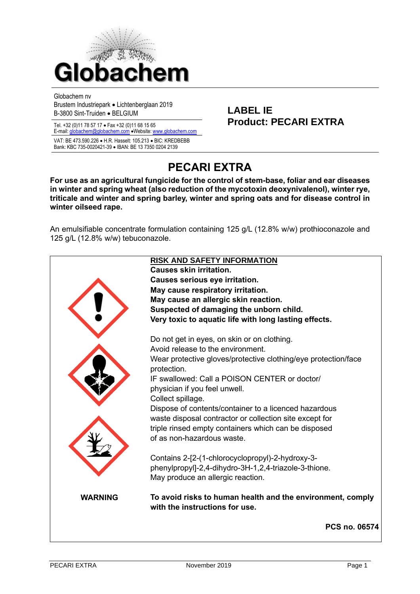

Globachem nv

Brustem Industriepark • Lichtenberglaan 2019 Brusten muustilepäik • Elontenbergiaan 2019<br>B-3800 Sint-Truiden • BELGIUM

E-mail[: globachem@globachem.com](mailto:globachem@globachem.com) •Website[: www.globachem.com](mailto:globachem@globachem.com)

VAT: BE 473.590.226 • H.R. Hasselt: 105.213 • BIC: KREDBEBB Bank: KBC 735-0020421-39 • IBAN: BE 13 7350 0204 2139

# Tel. +32 (0)11 78 57 17 • Fax +32 (0)11 68 15 65 **Product: PECARI EXTRA**

## **PECARI EXTRA**

**For use as an agricultural fungicide for the control of stem-base, foliar and ear diseases in winter and spring wheat (also reduction of the mycotoxin deoxynivalenol), winter rye, triticale and winter and spring barley, winter and spring oats and for disease control in winter oilseed rape.**

An emulsifiable concentrate formulation containing 125 g/L (12.8% w/w) prothioconazole and 125 g/L (12.8% w/w) tebuconazole.

|                | <b>RISK AND SAFETY INFORMATION</b><br><b>Causes skin irritation.</b><br>Causes serious eye irritation.<br>May cause respiratory irritation.<br>May cause an allergic skin reaction.<br>Suspected of damaging the unborn child.<br>Very toxic to aquatic life with long lasting effects.                                           |
|----------------|-----------------------------------------------------------------------------------------------------------------------------------------------------------------------------------------------------------------------------------------------------------------------------------------------------------------------------------|
|                | Do not get in eyes, on skin or on clothing.<br>Avoid release to the environment.<br>Wear protective gloves/protective clothing/eye protection/face<br>protection.<br>IF swallowed: Call a POISON CENTER or doctor/<br>physician if you feel unwell.<br>Collect spillage.<br>Dispose of contents/container to a licenced hazardous |
|                | waste disposal contractor or collection site except for<br>triple rinsed empty containers which can be disposed<br>of as non-hazardous waste.<br>Contains 2-[2-(1-chlorocyclopropyl)-2-hydroxy-3-<br>phenylpropyl]-2,4-dihydro-3H-1,2,4-triazole-3-thione.<br>May produce an allergic reaction.                                   |
| <b>WARNING</b> | To avoid risks to human health and the environment, comply<br>with the instructions for use.                                                                                                                                                                                                                                      |
|                | <b>PCS no. 06574</b>                                                                                                                                                                                                                                                                                                              |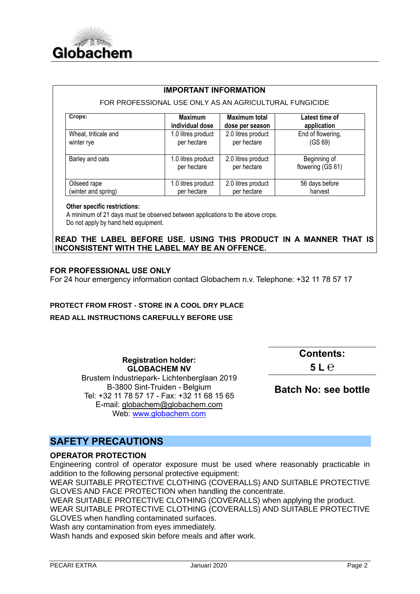

#### **IMPORTANT INFORMATION**

#### FOR PROFESSIONAL USE ONLY AS AN AGRICULTURAL FUNGICIDE

| Crops:               | Maximum            | <b>Maximum total</b> | Latest time of    |
|----------------------|--------------------|----------------------|-------------------|
|                      | individual dose    | dose per season      | application       |
| Wheat, triticale and | 1.0 litres product | 2.0 litres product   | End of flowering, |
| winter rye           | per hectare        | per hectare          | (GS 69)           |
| Barley and oats      | 1.0 litres product | 2.0 litres product   | Beginning of      |
|                      | per hectare        | per hectare          | flowering (GS 61) |
| Oilseed rape         | 1.0 litres product | 2.0 litres product   | 56 days before    |
| (winter and spring)  | per hectare        | per hectare          | harvest           |

#### **Other specific restrictions:**

 A minimum of 21 days must be observed between applications to the above crops. Do not apply by hand held equipment.

#### **READ THE LABEL BEFORE USE. USING THIS PRODUCT IN A MANNER THAT IS INCONSISTENT WITH THE LABEL MAY BE AN OFFENCE.**

#### **FOR PROFESSIONAL USE ONLY**

For 24 hour emergency information contact Globachem n.v. Telephone: +32 11 78 57 17

## **PROTECT FROM FROST - STORE IN A COOL DRY PLACE**

#### **READ ALL INSTRUCTIONS CAREFULLY BEFORE USE**

**Registration holder: GLOBACHEM NV** Brustem Industriepark- Lichtenberglaan 2019 B-3800 Sint-Truiden - Belgium Tel: +32 11 78 57 17 - Fax: +32 11 68 15 65 E-mail: [globachem@globachem.com](mailto:globachem@globachem.com) Web: [www.globachem.com](http://www.globachem.com/)

**Contents: 5 L ℮**

**Batch No: see bottle**

## **SAFETY PRECAUTIONS**

#### **OPERATOR PROTECTION**

Engineering control of operator exposure must be used where reasonably practicable in addition to the following personal protective equipment:

WEAR SUITABLE PROTECTIVE CLOTHING (COVERALLS) AND SUITABLE PROTECTIVE GLOVES AND FACE PROTECTION when handling the concentrate.

WEAR SUITABLE PROTECTIVE CLOTHING (COVERALLS) when applying the product. WEAR SUITABLE PROTECTIVE CLOTHING (COVERALLS) AND SUITABLE PROTECTIVE GLOVES when handling contaminated surfaces.

Wash any contamination from eyes immediately.

Wash hands and exposed skin before meals and after work.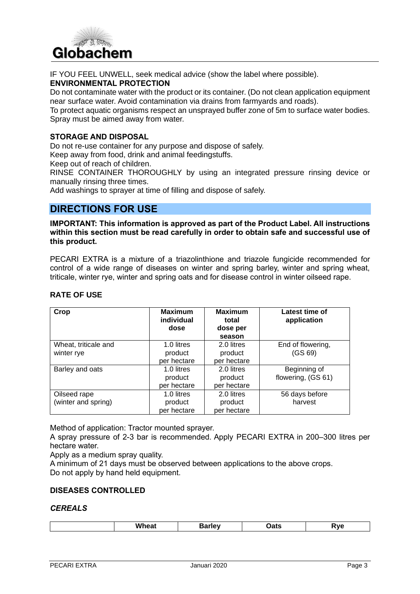

IF YOU FEEL UNWELL, seek medical advice (show the label where possible).

## **ENVIRONMENTAL PROTECTION**

Do not contaminate water with the product or its container. (Do not clean application equipment near surface water. Avoid contamination via drains from farmyards and roads).

To protect aquatic organisms respect an unsprayed buffer zone of 5m to surface water bodies. Spray must be aimed away from water.

#### **STORAGE AND DISPOSAL**

Do not re-use container for any purpose and dispose of safely.

Keep away from food, drink and animal feedingstuffs.

Keep out of reach of children.

RINSE CONTAINER THOROUGHLY by using an integrated pressure rinsing device or manually rinsing three times.

Add washings to sprayer at time of filling and dispose of safely.

## **DIRECTIONS FOR USE**

**IMPORTANT: This information is approved as part of the Product Label. All instructions within this section must be read carefully in order to obtain safe and successful use of this product.**

PECARI EXTRA is a mixture of a triazolinthione and triazole fungicide recommended for control of a wide range of diseases on winter and spring barley, winter and spring wheat, triticale, winter rye, winter and spring oats and for disease control in winter oilseed rape.

| Crop                 | <b>Maximum</b><br>individual<br>dose | <b>Maximum</b><br>total<br>dose per | Latest time of<br>application |
|----------------------|--------------------------------------|-------------------------------------|-------------------------------|
|                      |                                      | season                              |                               |
| Wheat, triticale and | 1.0 litres                           | 2.0 litres                          | End of flowering,             |
| winter rye           | product                              | product                             | (GS 69)                       |
|                      | per hectare                          | per hectare                         |                               |
| Barley and oats      | 1.0 litres                           | 2.0 litres                          | Beginning of                  |
|                      | product                              | product                             | flowering, (GS 61)            |
|                      | per hectare                          | per hectare                         |                               |
| Oilseed rape         | 1.0 litres                           | 2.0 litres                          | 56 days before                |
| (winter and spring)  | product                              | product                             | harvest                       |
|                      | per hectare                          | per hectare                         |                               |

## **RATE OF USE**

Method of application: Tractor mounted sprayer.

A spray pressure of 2-3 bar is recommended. Apply PECARI EXTRA in 200–300 litres per hectare water.

Apply as a medium spray quality.

A minimum of 21 days must be observed between applications to the above crops. Do not apply by hand held equipment.

#### **DISEASES CONTROLLED**

#### *CEREALS*

| .<br>wneat | . IAV<br>---- | <b>Dats</b> | 'VC |
|------------|---------------|-------------|-----|
|------------|---------------|-------------|-----|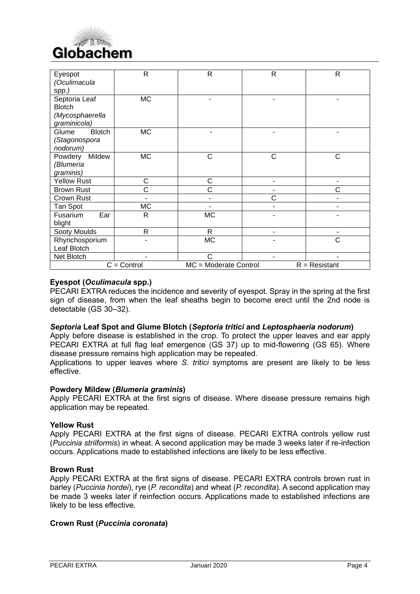

| Eyespot                   | $\mathsf{R}$  | $\mathsf{R}$          | $\mathsf{R}$   | $\mathsf{R}$    |
|---------------------------|---------------|-----------------------|----------------|-----------------|
| (Oculimacula              |               |                       |                |                 |
| spp.)                     |               |                       |                |                 |
| Septoria Leaf             | <b>MC</b>     |                       |                |                 |
| <b>Blotch</b>             |               |                       |                |                 |
| (Mycosphaerella           |               |                       |                |                 |
| graminicola)              | <b>MC</b>     |                       |                |                 |
| <b>Blotch</b><br>Glume    |               |                       |                | ۰               |
| (Stagonospora<br>nodorum) |               |                       |                |                 |
| Powdery<br>Mildew         | <b>MC</b>     | C                     | C              | C               |
| (Blumeria                 |               |                       |                |                 |
| graminis)                 |               |                       |                |                 |
| <b>Yellow Rust</b>        | С             | C                     |                |                 |
| <b>Brown Rust</b>         | Ć             | Ć                     |                | Ć               |
| Crown Rust                |               | -                     | Ć              | ٠               |
|                           | <b>MC</b>     |                       |                |                 |
| Tan Spot                  |               |                       |                |                 |
| Ear<br>Fusarium<br>blight | $\mathsf{R}$  | <b>MC</b>             |                |                 |
| Sooty Moulds              | $\mathsf{R}$  | R                     | $\blacksquare$ | $\blacksquare$  |
| Rhynchosporium            |               | <b>MC</b>             |                | C               |
| Leaf Blotch               |               |                       |                |                 |
| Net Blotch                |               | C                     |                |                 |
|                           | $C =$ Control | MC = Moderate Control |                | $R =$ Resistant |

#### **Eyespot (***Oculimacula* **spp.)**

PECARI EXTRA reduces the incidence and severity of eyespot. Spray in the spring at the first sign of disease, from when the leaf sheaths begin to become erect until the 2nd node is detectable (GS 30–32).

#### *Septoria* **Leaf Spot and Glume Blotch (***Septoria tritici* **and** *Leptosphaeria nodorum***)**

Apply before disease is established in the crop. To protect the upper leaves and ear apply PECARI EXTRA at full flag leaf emergence (GS 37) up to mid-flowering (GS 65). Where disease pressure remains high application may be repeated.

Applications to upper leaves where *S. tritici* symptoms are present are likely to be less effective.

#### **Powdery Mildew (***Blumeria graminis***)**

Apply PECARI EXTRA at the first signs of disease. Where disease pressure remains high application may be repeated.

#### **Yellow Rust**

Apply PECARI EXTRA at the first signs of disease. PECARI EXTRA controls yellow rust (*Puccinia striiformis*) in wheat. A second application may be made 3 weeks later if re-infection occurs. Applications made to established infections are likely to be less effective.

#### **Brown Rust**

Apply PECARI EXTRA at the first signs of disease. PECARI EXTRA controls brown rust in barley (*Puccinia hordei*), rye (*P. recondita*) and wheat (*P. recondita*). A second application may be made 3 weeks later if reinfection occurs. Applications made to established infections are likely to be less effective.

#### **Crown Rust (***Puccinia coronata***)**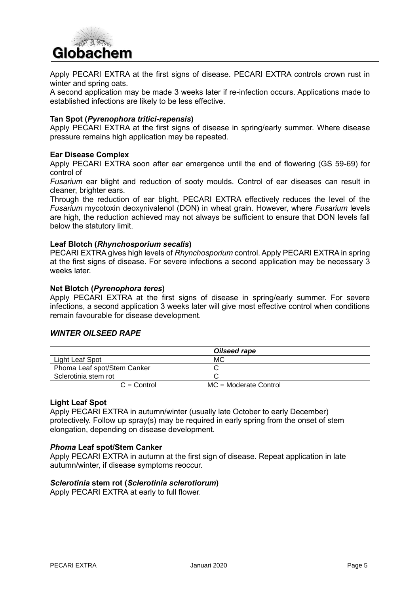

Apply PECARI EXTRA at the first signs of disease. PECARI EXTRA controls crown rust in winter and spring oats.

A second application may be made 3 weeks later if re-infection occurs. Applications made to established infections are likely to be less effective.

#### **Tan Spot (***Pyrenophora tritici-repensis***)**

Apply PECARI EXTRA at the first signs of disease in spring/early summer. Where disease pressure remains high application may be repeated.

#### **Ear Disease Complex**

Apply PECARI EXTRA soon after ear emergence until the end of flowering (GS 59-69) for control of

*Fusarium* ear blight and reduction of sooty moulds. Control of ear diseases can result in cleaner, brighter ears.

Through the reduction of ear blight, PECARI EXTRA effectively reduces the level of the *Fusarium* mycotoxin deoxynivalenol (DON) in wheat grain. However, where *Fusarium* levels are high, the reduction achieved may not always be sufficient to ensure that DON levels fall below the statutory limit.

#### **Leaf Blotch (***Rhynchosporium secalis***)**

PECARI EXTRA gives high levels of *Rhynchosporium* control. Apply PECARI EXTRA in spring at the first signs of disease. For severe infections a second application may be necessary 3 weeks later.

#### **Net Blotch (***Pyrenophora teres***)**

Apply PECARI EXTRA at the first signs of disease in spring/early summer. For severe infections, a second application 3 weeks later will give most effective control when conditions remain favourable for disease development.

#### *WINTER OILSEED RAPE*

|                             | Oilseed rape                   |
|-----------------------------|--------------------------------|
| Light Leaf Spot             | MC                             |
| Phoma Leaf spot/Stem Canker |                                |
| Sclerotinia stem rot        |                                |
| $C =$ Control               | $MC = Modern$ Moderate Control |

#### **Light Leaf Spot**

Apply PECARI EXTRA in autumn/winter (usually late October to early December) protectively. Follow up spray(s) may be required in early spring from the onset of stem elongation, depending on disease development.

#### *Phoma* **Leaf spot/Stem Canker**

Apply PECARI EXTRA in autumn at the first sign of disease. Repeat application in late autumn/winter, if disease symptoms reoccur.

#### *Sclerotinia* **stem rot (***Sclerotinia sclerotiorum***)**

Apply PECARI EXTRA at early to full flower.